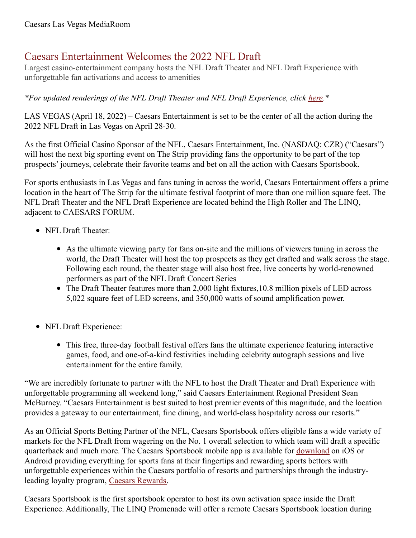## Caesars Entertainment Welcomes the 2022 NFL Draft

Largest casino-entertainment company hosts the NFL Draft Theater and NFL Draft Experience with unforgettable fan activations and access to amenities

*\*For updated renderings of the NFL Draft Theater and NFL Draft Experience, click [here](https://drive.google.com/drive/folders/14PgLbCSk4SWnP5H61r4-bp1QdvJkqGJD?usp=sharing).\**

LAS VEGAS (April 18, 2022) – Caesars Entertainment is set to be the center of all the action during the 2022 NFL Draft in Las Vegas on April 28-30.

As the first Official Casino Sponsor of the NFL, Caesars Entertainment, Inc. (NASDAQ: CZR) ("Caesars") will host the next big sporting event on The Strip providing fans the opportunity to be part of the top prospects' journeys, celebrate their favorite teams and bet on all the action with Caesars Sportsbook.

For sports enthusiasts in Las Vegas and fans tuning in across the world, Caesars Entertainment offers a prime location in the heart of The Strip for the ultimate festival footprint of more than one million square feet. The NFL Draft Theater and the NFL Draft Experience are located behind the High Roller and The LINQ, adjacent to CAESARS FORUM.

- NFL Draft Theater:
	- As the ultimate viewing party for fans on-site and the millions of viewers tuning in across the world, the Draft Theater will host the top prospects as they get drafted and walk across the stage. Following each round, the theater stage will also host free, live concerts by world-renowned performers as part of the NFL Draft Concert Series
	- The Draft Theater features more than 2,000 light fixtures,10.8 million pixels of LED across 5,022 square feet of LED screens, and 350,000 watts of sound amplification power.
- NFL Draft Experience:
	- This free, three-day football festival offers fans the ultimate experience featuring interactive games, food, and one-of-a-kind festivities including celebrity autograph sessions and live entertainment for the entire family.

"We are incredibly fortunate to partner with the NFL to host the Draft Theater and Draft Experience with unforgettable programming all weekend long," said Caesars Entertainment Regional President Sean McBurney. "Caesars Entertainment is best suited to host premier events of this magnitude, and the location provides a gateway to our entertainment, fine dining, and world-class hospitality across our resorts."

As an Official Sports Betting Partner of the NFL, Caesars Sportsbook offers eligible fans a wide variety of markets for the NFL Draft from wagering on the No. 1 overall selection to which team will draft a specific quarterback and much more. The Caesars Sportsbook mobile app is available for [download](https://www.williamhill.com/us/get-the-app) on iOS or Android providing everything for sports fans at their fingertips and rewarding sports bettors with unforgettable experiences within the Caesars portfolio of resorts and partnerships through the industryleading loyalty program, Caesars [Rewards](https://www.caesars.com/myrewards).

Caesars Sportsbook is the first sportsbook operator to host its own activation space inside the Draft Experience. Additionally, The LINQ Promenade will offer a remote Caesars Sportsbook location during